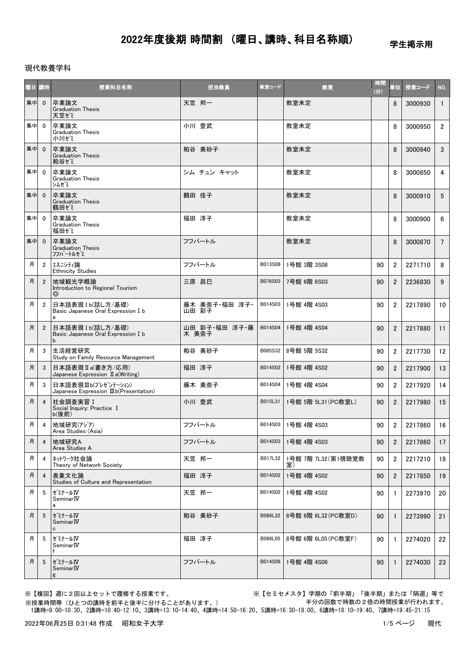学生掲示用

### 現代教養学科

| 曜日講時 |                | 授業科目名称                                                        | 担当教員                   | 教室コード   | 教室                       | 時間<br>(3) | 単位             | 授業コード   | NO.             |
|------|----------------|---------------------------------------------------------------|------------------------|---------|--------------------------|-----------|----------------|---------|-----------------|
| 集中   | $\mathbf{0}$   | 卒業論文<br><b>Graduation Thesis</b><br>天笠ゼミ                      | 天笠 邦一                  |         | 教室未定                     |           | 8              | 3000930 | $\mathbf{1}$    |
| 集中   | $\mathbf{0}$   | 卒業論文<br><b>Graduation Thesis</b><br>小川ゼミ                      | 小川 豊武                  |         | 教室未定                     |           | 8              | 3000950 | $2^{\circ}$     |
| 集中   | $\overline{0}$ | 卒業論文<br><b>Graduation Thesis</b><br>粕谷ゼミ                      | 粕谷 美砂子                 |         | 教室未定                     |           | 8              | 3000940 | $\mathbf{3}$    |
| 集中   | $\mathbf{0}$   | 卒業論文<br><b>Graduation Thesis</b><br>シムゼミ                      | シム チュン キャット            |         | 教室未定                     |           | 8              | 3000850 | 4               |
| 集中   | $\mathbf{0}$   | 卒業論文<br><b>Graduation Thesis</b><br>鶴田ゼミ                      | 鶴田 佳子                  |         | 教室未定                     |           | 8              | 3000910 | $5^{\circ}$     |
| 集中   | $\mathbf{0}$   | 卒業論文<br><b>Graduation Thesis</b><br>福田ゼミ                      | 福田 淳子                  |         | 教室未定                     |           | 8              | 3000900 | 6               |
| 集中   | $\overline{0}$ | 卒業論文<br><b>Graduation Thesis</b><br>フフハートルゼミ                  | フフバートル                 |         | 教室未定                     |           | 8              | 3000870 | $7^{\circ}$     |
| 月    | $\overline{2}$ | エスニシティ論<br><b>Ethnicity Studies</b>                           | フフバートル                 | B013S08 | 1号館 3階 3S08              | 90        | $\overline{2}$ | 2271710 | 8               |
| 月    | $\overline{2}$ | 地域観光学概論<br>Introduction to Regional Tourism<br>◎              | 三原 昌巳                  | B076S03 | 7号館 6階 6S03              | 90        | $\overline{2}$ | 2236830 | 9               |
| 月    | $\overline{2}$ | 日本語表現 Ib(話し方/基礎)<br>Basic Japanese Oral Expression I b<br>a   | 藤木 美奈子・福田 淳子・<br>山田 彩子 | B014S03 | 1号館 4階 4S03              | 90        | $\overline{2}$ | 2217890 | 10 <sup>°</sup> |
| 月    | $\overline{2}$ | 日本語表現 Ib(話し方/基礎)<br>Basic Japanese Oral Expression I b<br>b   | 山田 彩子・福田 淳子・藤<br>木 美奈子 | B014S04 | 1号館 4階 4S04              | 90        | $\overline{2}$ | 2217880 | 11              |
| 月    | 3              | 生活経営研究<br>Study on Family Resource Management                 | 粕谷 美砂子                 | B085S32 | 8号館 5階 5S32              | 90        | $\overline{2}$ | 2217730 | 12              |
| 月    | 3              | 日本語表現Ⅱa(書き方/応用)<br>Japanese Expression $\mathbb I$ a(Writing) | 福田 淳子                  | B014S02 | 1号館 4階 4S02              | 90        | $\overline{2}$ | 2217900 | 13              |
| 月    | 3              | 日本語表現Ⅲb(プレゼンテーション)<br>Japanese Expression IIIb(Presentation)  | 藤木 美奈子                 | B014S04 | 1号館 4階 4S04              | 90        | $\overline{2}$ | 2217920 | 14              |
| 月    | $\overline{4}$ | 社会調査実習 I<br>Social Inquiry: Practice I<br>$b$ (後前)            | 小川 豊武                  | B015L31 | 1号館 5階 5L31 (PC教室L)      | 90        | $\overline{2}$ | 2217980 | 15              |
| 月    | 4              | 地域研究(アジア)<br>Area Studies (Asia)                              | フフバートル                 |         | B014S03 1号館 4階 4S03      | 90        | $\overline{2}$ | 2217860 | 16              |
| 月    | $\overline{4}$ | 地域研究A<br>Area Studies A                                       | フフバートル                 | B014S03 | 1号館 4階 4S03              | 90        | $\overline{2}$ | 2217860 | 17              |
| 月    | 4              | ネットワーク社会論<br>Theory of Network Society                        | 天笠 邦一                  | B017L32 | 1号館 7階 7L32(第1視聴覚教<br>室) | 90        | 2              | 2217210 | 18              |
| 月    | 4              | 表象文化論<br>Studies of Culture and Representation                | 福田 淳子                  | B014S02 | 1号館 4階 4S02              | 90        | $\overline{2}$ | 2217850 | 19              |
| 月    | 5              | ゼミナールIV<br>Seminar <b>IV</b><br>a                             | 天笠 邦一                  | B014S02 | 1号館 4階 4S02              | 90        | $\mathbf{1}$   | 2273970 | 20              |
| 月    | 5              | セミナールIV<br>Seminar <sub>IV</sub><br>c                         | 粕谷 美砂子                 | B086L32 | 8号館 6階 6L32 (PC教室D)      | 90        | 1              | 2273990 | 21              |
| 月    | 5              | ゼミナールIV<br>Seminar <sub>IV</sub><br>f                         | 福田 淳子                  | B086L05 | 8号館 6階 6L05 (PC教室F)      | 90        | $\mathbf{1}$   | 2274020 | 22              |
| 月    | 5              | セミナールIV<br>Seminar <sub>IV</sub><br>g                         | フフバートル                 | B014S06 | 1号館 4階 4S06              | 90        | $\mathbf{1}$   | 2274030 | 23              |

※【複回】週に2回以上セットで履修する授業です。 ※【セミセメスタ】学期の「前半期」「後半期」または「隔週」等で 半分の回数で時数の2倍の時間授業が行われます。

 1講時=9:00-10:30、2講時=10:40-12:10、3講時=13:10-14:40、4講時=14:50-16:20、5講時=16:30-18:00、6講時=18:10-19:40、7講時=19:45-21:15 ※授業時間帯(ひとつの講時を前半と後半に分けることがあります。)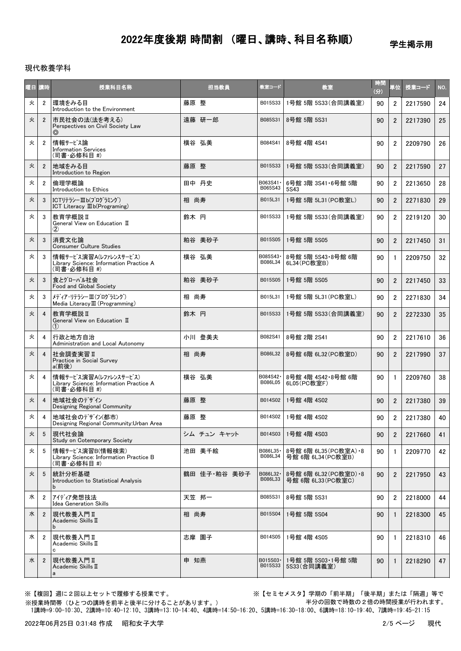学生掲示用

#### 現代教養学科

| 握目 | 講時             | 授業科目名称                                                                          | 担当教員         | 教室コード                | 教室                                            | 時間<br>(3) | 単位             | 授業コード   | NO.             |
|----|----------------|---------------------------------------------------------------------------------|--------------|----------------------|-----------------------------------------------|-----------|----------------|---------|-----------------|
| 火  | $\overline{2}$ | 環境をみる目<br>Introduction to the Environment                                       | 藤原 整         | B015S33              | 1号館 5階 5S33(合同講義室)                            | 90        | $\overline{2}$ | 2217590 | 24              |
| 火  | $\overline{2}$ | 市民社会の法(法を考える)<br>Perspectives on Civil Society Law<br>$\circledcirc$            | 遠藤 研一郎       | B085S31              | 8号館 5階 5S31                                   | 90        | $\overline{2}$ | 2217390 | 25              |
| 火  | $\overline{2}$ | 情報サービス論<br><b>Information Services</b><br>(司書·必修科目 #)                           | 横谷 弘美        | B084S41              | 8号館 4階 4S41                                   | 90        | $\overline{2}$ | 2209790 | 26              |
| 火  | $\overline{2}$ | 地域をみる目<br>Introduction to Region                                                | 藤原整          | B015S33              | 1号館 5階 5S33(合同講義室)                            | 90        | $\overline{2}$ | 2217590 | 27              |
| 火  | $\overline{2}$ | 倫理学概論<br>Introduction to Ethics                                                 | 田中 丹史        | B063S41 ·<br>B065S43 | 6号館 3階 3S41 · 6号館 5階<br>5S43                  | 90        | $\overline{2}$ | 2213650 | 28              |
| 火  | 3              | ICTリテラシーⅢb(プログラミング)<br>ICT Literacy $\mathbb{I}$ b(Programing)                  | 相 尚寿         | B015L31              | 1号館 5階 5L31 (PC教室L)                           | 90        | $\overline{2}$ | 2271830 | 29              |
| 火  | 3              | 教育学概説 II<br>General View on Education II<br>$\rm(2)$                            | 鈴木 円         | B015S33              | 1号館 5階 5S33(合同講義室)                            | 90        | $\overline{2}$ | 2219120 | 30              |
| 火  | 3              | 消費文化論<br><b>Consumer Culture Studies</b>                                        | 粕谷 美砂子       | B015S05              | 1号館 5階 5S05                                   | 90        | $\overline{2}$ | 2217450 | 31              |
| 火  | 3              | 情報サービス演習A(レファレンスサービス)<br>Library Science: Information Practice A<br>(司書·必修科目 #) | 横谷 弘美        | B085S43·<br>B086L34  | 8号館 5階 5S43 8号館 6階<br>6L34(PC教室B)             | 90        | $\mathbf{1}$   | 2209750 | 32              |
| 火  | 3              | 食とグローバル社会<br>Food and Global Society                                            | 粕谷 美砂子       | B015S05              | 1号館 5階 5S05                                   | 90        | $\overline{2}$ | 2217450 | 33              |
| 火  | 3              | メディア・リテラシー III (プログラミング)<br>Media Literacy III (Programming)                    | 相 尚寿         | B015L31              | 1号館 5階 5L31 (PC教室L)                           | 90        | $\overline{2}$ | 2271830 | 34              |
| 火  | $\overline{4}$ | 教育学概説 II<br>General View on Education II<br>(1)                                 | 鈴木 円         | B015S33              | 1号館 5階 5S33(合同講義室)                            | 90        | $\overline{2}$ | 2272330 | 35 <sub>5</sub> |
| 火  | 4              | 行政と地方自治<br>Administration and Local Autonomy                                    | 小川 登美夫       | B082S41              | 8号館 2階 2S41                                   | 90        | $\overline{2}$ | 2217610 | 36              |
| 火  | $\overline{4}$ | 社会調査実習Ⅱ<br>Practice in Social Survey<br>a(前後)                                   | 相 尚寿         | B086L32              | 8号館 6階 6L32 (PC教室D)                           | 90        | $\overline{2}$ | 2217990 | 37              |
| 火  | $\overline{4}$ | 情報サービス演習A(レファレンスサービス)<br>Library Science: Information Practice A<br>(司書·必修科目 #) | 横谷 弘美        | B084S42 ·<br>B086L05 | 8号館 4階 4S42·8号館 6階<br>6L05(PC教室F)             | 90        | $\mathbf{1}$   | 2209760 | 38              |
| 火  | $\overline{4}$ | 地域社会のデザイン<br>Designing Regional Community                                       | 藤原整          | B014S02              | 1号館 4階 4S02                                   | 90        | $\overline{2}$ | 2217380 | 39              |
| 火  | 4              | 地域社会のデザイン(都市)<br>Designing Regional Community: Urban Area                       | 藤原 整         | B014S02              | 1号館 4階 4S02                                   | 90        | $\overline{2}$ | 2217380 | 40              |
| 火  | 5              | 現代社会論<br>Study on Cotemporary Society                                           | シム チュン キャット  | B014S03              | 1号館 4階 4S03                                   | 90        | $\overline{2}$ | 2217660 | 41              |
| 火  | 5              | 情報サービス演習B(情報検索)<br>Library Science: Information Practice B<br>(司書·必修科目 #)       | 池田 美千絵       | B086L35 ·<br>B086L34 | 8号館 6階 6L35 (PC教室A) - 8<br>号館 6階 6L34 (PC教室B) | 90        | $\mathbf{1}$   | 2209770 | 42              |
| 火  | 5              | 統計分析基礎<br>Introduction to Statistical Analysis<br>b                             | 鶴田 佳子·粕谷 美砂子 | B086L32 ·<br>B086L33 | 8号館 6階 6L32(PC教室D)・8<br>号館 6階 6L33 (PC教室C)    | 90        | $\overline{2}$ | 2217950 | 43              |
| 水  | $\overline{2}$ | アイディア発想技法<br><b>Idea Generation Skills</b>                                      | 天笠 邦一        | B085S31              | 8号館 5階 5S31                                   | 90        | $\overline{2}$ | 2218000 | 44              |
| 水  | $\overline{2}$ | 現代教養入門Ⅱ<br>Academic Skills II<br>b                                              | 相 尚寿         | B015S04              | 1号館 5階 5S04                                   | 90        | $\mathbf{1}$   | 2218300 | 45              |
| 水  | $\overline{2}$ | 現代教養入門Ⅱ<br>Academic Skills II<br>c                                              | 志摩 園子        | B014S05              | 1号館 4階 4S05                                   | 90        | $\mathbf{1}$   | 2218310 | 46              |
| 水  | $\overline{2}$ | 現代教養入門Ⅱ<br>Academic Skills II<br>a                                              | 申 知燕         | B015S03 ·<br>B015S33 | 1号館 5階 5S03·1号館 5階<br>5S33(合同講義室)             | 90        | $\mathbf{1}$   | 2218290 | 47 <sup>1</sup> |

※授業時間帯(ひとつの講時を前半と後半に分けることがあります。)

※【複回】週に2回以上セットで履修する授業です。 ※【セミセメスタ】学期の「前半期」「後半期」または「隔週」等で 半分の回数で時数の2倍の時間授業が行われます。

1講時=9:00-10:30、2講時=10:40-12:10、3講時=13:10-14:40、4講時=14:50-16:20、5講時=16:30-18:00、6講時=18:10-19:40、7講時=19:45-21:15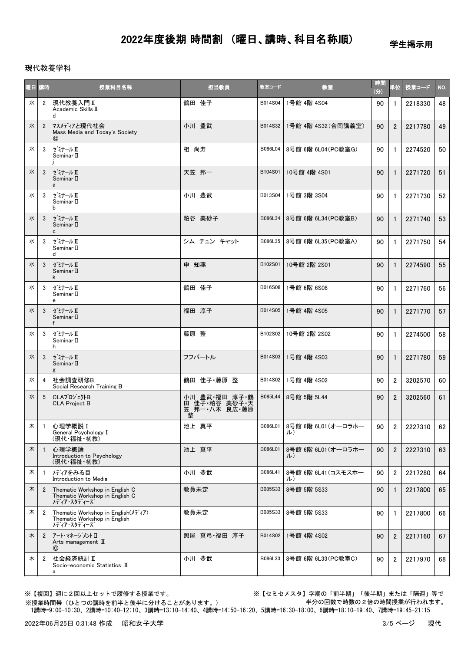学生掲示用

### 現代教養学科

| 曜日 | 講時             | 授業科目名称                                                                                                | 担当教員                                                 | 教室コード   | 教室                        | 時間<br>(分) | 単位               | 授業コード   | NO. |
|----|----------------|-------------------------------------------------------------------------------------------------------|------------------------------------------------------|---------|---------------------------|-----------|------------------|---------|-----|
| 水  | $\overline{2}$ | 現代教養入門Ⅱ<br>Academic Skills II<br>d                                                                    | 鶴田 佳子                                                | B014S04 | 1号館 4階 4S04               | 90        | 1                | 2218330 | 48  |
| 水  | $\overline{2}$ | マスメディアと現代社会<br>Mass Media and Today's Society<br>⊚                                                    | 小川 豊武                                                | B014S32 | 1号館 4階 4S32 (合同講義室)       | 90        | $\overline{2}$   | 2217780 | 49  |
| 水  | 3              | ゼミナール Ⅱ<br>Seminar II                                                                                 | 相 尚寿                                                 | B086L04 | 8号館 6階 6L04 (PC教室G)       | 90        | $\mathbf{1}$     | 2274520 | 50  |
| 水  | 3              | セミナール Ⅱ<br>Seminar II<br>a                                                                            | 天笠 邦一                                                | B104S01 | 10号館 4階 4S01              | 90        | $\mathbf{1}$     | 2271720 | 51  |
| 水  | 3              | ゼミナール Ⅱ<br>Seminar II<br>b                                                                            | 小川 豊武                                                | B013S04 | 1号館 3階 3S04               | 90        | $\mathbf{1}$     | 2271730 | 52  |
| 水  | 3              | セミナール Ⅱ<br>Seminar II<br>c                                                                            | 粕谷 美砂子                                               | B086L34 | 8号館 6階 6L34 (PC教室B)       | 90        | $\mathbf{1}$     | 2271740 | 53  |
| 水  | 3              | ゼミナール Ⅱ<br>Seminar II<br>d                                                                            | シム チュン キャット                                          | B086L35 | 8号館 6階 6L35(PC教室A)        | 90        | $\mathbf{1}$     | 2271750 | 54  |
| 水  | 3              | ゼミナール Ⅱ<br>Seminar II<br>k                                                                            | 申 知燕                                                 | B102S01 | 10号館 2階 2S01              | 90        | $\mathbf{1}$     | 2274590 | 55  |
| 水  | 3              | ゼミナール Ⅱ<br>Seminar II<br>e                                                                            | 鶴田 佳子                                                | B016S08 | 1号館 6階 6S08               | 90        | $\mathbf{1}$     | 2271760 | 56  |
| 水  | 3              | ゼミナール Ⅱ<br>Seminar II                                                                                 | 福田 淳子                                                | B014S05 | 1号館 4階 4S05               | 90        | $\mathbf{1}$     | 2271770 | 57  |
| 水  | 3              | セ゛ミナール Ⅱ<br>Seminar II<br>h                                                                           | 藤原 整                                                 | B102S02 | 10号館 2階 2S02              | 90        | $\mathbf{1}$     | 2274500 | 58  |
| 水  | 3              | ゼミナール Ⅱ<br>Seminar II<br>g                                                                            | フフバートル                                               | B014S03 | 1号館 4階 4S03               | 90        | $\mathbf{1}$     | 2271780 | 59  |
| 水  | 4              | 社会調査研修B<br>Social Research Training B                                                                 | 鶴田 佳子·藤原 整                                           | B014S02 | 1号館 4階 4S02               | 90        | $\overline{2}$   | 3202570 | 60  |
| 水  | 5              | CLAプロジェクトB<br><b>CLA Project B</b>                                                                    | 小川 豊武 福田 淳子 鶴<br>田 佳子·粕谷 美砂子·天<br>笠 邦一・八木 良広 藤原<br>整 | B085L44 | 8号館 5階 5L44               | 90        | $\overline{2}$   | 3202560 | 61  |
| 木  | $\mathbf{1}$   | 心理学概説 I<br>General Psychology I<br>(現代・福祉・初教)                                                         | 池上 真平                                                | B086L01 | 8号館 6階 6L01 (オーロラホー<br>ル) | 90        | $\boldsymbol{2}$ | 2227310 | 62  |
| 木  | $\overline{1}$ | 心理学概論<br>Introduction to Psychology<br>(現代・福祉・初教)                                                     | 池上 真平                                                | B086L01 | 8号館 6階 6L01 (オーロラホー<br>ル) | 90        | $\overline{2}$   | 2227310 | 63  |
| 木  | $\mathbf{1}$   | メディアをみる目<br>Introduction to Media                                                                     | 小川 豊武                                                | B086L41 | 8号館 6階 6L41 (コスモスホー<br>ル) | 90        | $\overline{2}$   | 2217280 | 64  |
| 木  | $\overline{2}$ | Thematic Workshop in English C<br>Thematic Workshop in English C<br>メディア・スタディーズ                       | 教員未定                                                 | B085S33 | 8号館 5階 5S33               | 90        | 1                | 2217800 | 65  |
| 木  | $\overline{2}$ | Thematic Workshop in English( $\overrightarrow{7}$ /7)<br>Thematic Workshop in English<br>メディア・スタディーズ | 教員未定                                                 | B085S33 | 8号館 5階 5S33               | 90        | $\mathbf{1}$     | 2217800 | 66  |
| 木  | $\overline{2}$ | アート・マネージ メント II<br>Arts management $\mathbb I$<br>(O)                                                 | 照屋 真弓·福田 淳子                                          | B014S02 | 1号館 4階 4S02               | 90        | $\overline{2}$   | 2217160 | 67  |
| 木  | $\overline{2}$ | 社会経済統計 II<br>Socio-economic Statistics II<br>а                                                        | 小川 豊武                                                | B086L33 | 8号館 6階 6L33 (PC教室C)       | 90        | $\overline{2}$   | 2217970 | 68  |

※【複回】週に2回以上セットで履修する授業です。 ※【セミセメスタ】学期の「前半期」「後半期」または「隔週」等で 半分の回数で時数の2倍の時間授業が行われます。

 1講時=9:00-10:30、2講時=10:40-12:10、3講時=13:10-14:40、4講時=14:50-16:20、5講時=16:30-18:00、6講時=18:10-19:40、7講時=19:45-21:15 ※授業時間帯(ひとつの講時を前半と後半に分けることがあります。)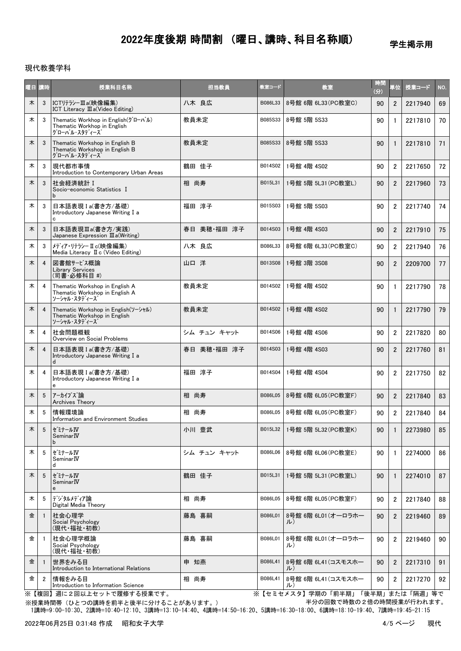学生掲示用

### 現代教養学科

|   | 曜日 講時          | 授業科目名称                                                                                        | 担当教員        | 教室コード   | 教室                        | 時間<br>(分) | 単位             | 授業コード   | NO. |
|---|----------------|-----------------------------------------------------------------------------------------------|-------------|---------|---------------------------|-----------|----------------|---------|-----|
| 木 | 3              | ICTリテラシーⅢa(映像編集)<br>ICT Literacy III a(Video Editing)                                         | 八木 良広       | B086L33 | 8号館 6階 6L33 (PC教室C)       | 90        | $\overline{2}$ | 2217940 | 69  |
| 木 | 3              | Thematic Workhop in English( $\ddot{y}$ I-n'l)<br>Thematic Workhop in English<br>グローバル・スタディーズ | 教員未定        | B085S33 | 8号館 5階 5S33               | 90        | $\mathbf{1}$   | 2217810 | 70  |
| 木 | 3              | Thematic Workshop in English B<br>Thematic Workshop in English B<br>グローバル・スタディーズ              | 教員未定        | B085S33 | 8号館 5階 5S33               | 90        | $\mathbf{1}$   | 2217810 | 71  |
| 木 | 3              | 現代都市事情<br>Introduction to Contemporary Urban Areas                                            | 鶴田 佳子       | B014S02 | 1号館 4階 4S02               | 90        | $\overline{2}$ | 2217650 | 72  |
| 木 | 3              | 社会経済統計 I<br>Socio-economic Statistics I<br>b                                                  | 相 尚寿        | B015L31 | 1号館 5階 5L31 (PC教室L)       | 90        | $\overline{2}$ | 2217960 | 73  |
| 木 | 3              | 日本語表現 I a(書き方/基礎)<br>Introductory Japanese Writing I a<br>c                                   | 福田 淳子       | B015S03 | 1号館 5階 5S03               | 90        | $\overline{2}$ | 2217740 | 74  |
| 木 | 3              | 日本語表現Ⅲa(書き方/実践)<br>Japanese Expression $\mathbb{II}$ a(Writing)                               | 春日 美穂·福田 淳子 | B014S03 | 1号館 4階 4S03               | 90        | $\overline{2}$ | 2217910 | 75  |
| 木 | 3              | メディア・リテラシーⅡc(映像編集)<br>Media Literacy II c (Video Editing)                                     | 八木 良広       | B086L33 | 8号館 6階 6L33 (PC教室C)       | 90        | $\overline{2}$ | 2217940 | 76  |
| 木 | 4              | 図書館サービス概論<br><b>Library Services</b><br>(司書·必修科目 #)                                           | 山口 洋        | B013S08 | 1号館 3階 3S08               | 90        | $\overline{2}$ | 2209700 | 77  |
| 木 | 4              | Thematic Workshop in English A<br>Thematic Workshop in English A<br>ソーシャル・スタディース              | 教員未定        | B014S02 | 1号館 4階 4S02               | 90        | $\mathbf{1}$   | 2217790 | 78  |
| 木 | 4              | Thematic Workshop in English(ソーシャル)<br>Thematic Workshop in English<br>ソーシャル・スタディース           | 教員未定        | B014S02 | 1号館 4階 4S02               | 90        | $\mathbf{1}$   | 2217790 | 79  |
| 木 | 4              | 社会問題概観<br>Overview on Social Problems                                                         | シム チュン キャット | B014S06 | 1号館 4階 4S06               | 90        | $\overline{2}$ | 2217820 | 80  |
| 木 | $\overline{4}$ | 日本語表現 I a(書き方/基礎)<br>Introductory Japanese Writing I a<br>d                                   | 春日 美穂·福田 淳子 | B014S03 | 1号館 4階 4S03               | 90        | $\overline{2}$ | 2217760 | 81  |
| 木 | 4              | 日本語表現 I a(書き方/基礎)<br>Introductory Japanese Writing I a<br>e                                   | 福田 淳子       | B014S04 | 1号館 4階 4S04               | 90        | $\overline{2}$ | 2217750 | 82  |
| 木 | 5              | アーカイブズ論<br>Archives Theory                                                                    | 相 尚寿        | B086L05 | 8号館 6階 6L05 (PC教室F)       | 90        | $\overline{2}$ | 2217840 | 83  |
| 木 | 5              | 情報環境論<br>Information and Environment Studies                                                  | 相 尚寿        | B086L05 | 8号館 6階 6L05(PC教室F)        | 90        | $\overline{2}$ | 2217840 | 84  |
| 木 | 5              | ∥ゼミナールⅣ<br>Seminar <sub>IV</sub><br>b                                                         | 小川 豊武       | B015L32 | 1号館 5階 5L32 (PC教室K)       | 90        | $\mathbf{1}$   | 2273980 | 85  |
| 木 | 5              | ゼミナールⅣ<br>Seminar <sub>IV</sub><br>d                                                          | シム チュン キャット | B086L06 | 8号館 6階 6L06 (PC教室E)       | 90        | -1             | 2274000 | 86  |
| 木 | 5              | セミナールIV<br>Seminar <sub>IV</sub><br>e                                                         | 鶴田 佳子       | B015L31 | 1号館 5階 5L31 (PC教室L)       | 90        | $\mathbf{1}$   | 2274010 | 87  |
| 木 | 5              | デジタルメディア論<br>Digital Media Theory                                                             | 相 尚寿        | B086L05 | 8号館 6階 6L05(PC教室F)        | 90        | $\overline{2}$ | 2217840 | 88  |
| 金 | -1             | 社会心理学<br>Social Psychology<br>(現代・福祉・初教)                                                      | 藤島 喜嗣       | B086L01 | 8号館 6階 6L01 (オーロラホー<br>ル) | 90        | $\overline{2}$ | 2219460 | 89  |
| 金 | -1             | 社会心理学概論<br>Social Psychology<br>(現代・福祉・初教)                                                    | 藤島 喜嗣       | B086L01 | 8号館 6階 6L01 (オーロラホー<br>ル) | 90        | $\overline{2}$ | 2219460 | 90  |
| 金 |                | 世界をみる目<br>Introduction to International Relations                                             | 申 知燕        | B086L41 | 8号館 6階 6L41(コスモスホー<br>ル)  | 90        | $\overline{2}$ | 2217310 | 91  |
| 金 | $\overline{2}$ | 情報をみる目<br>Introduction to Information Science                                                 | 相 尚寿        | B086L41 | 8号館 6階 6L41 (コスモスホー<br>ル) | 90        | $\overline{2}$ | 2217270 | 92  |

※授業時間帯(ひとつの講時を前半と後半に分けることがあります。) ※【複回】週に2回以上セットで履修する授業です。 ※【セミセメスタ】学期の「前半期」「後半期」または「隔週」等で 半分の回数で時数の2倍の時間授業が行われます。

1講時=9:00-10:30、2講時=10:40-12:10、3講時=13:10-14:40、4講時=14:50-16:20、5講時=16:30-18:00、6講時=18:10-19:40、7講時=19:45-21:15